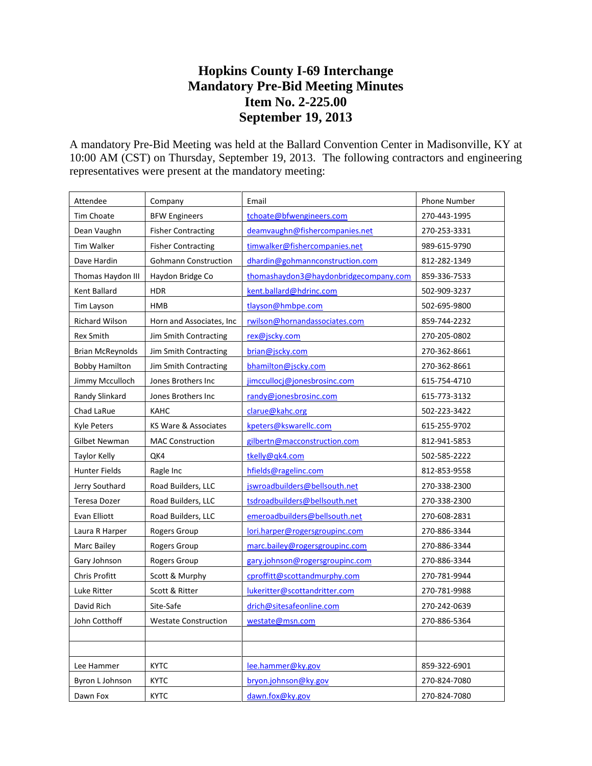## **Hopkins County I-69 Interchange Mandatory Pre-Bid Meeting Minutes Item No. 2-225.00 September 19, 2013**

A mandatory Pre-Bid Meeting was held at the Ballard Convention Center in Madisonville, KY at 10:00 AM (CST) on Thursday, September 19, 2013. The following contractors and engineering representatives were present at the mandatory meeting:

| Attendee                | Company                     | Email                                 | Phone Number |
|-------------------------|-----------------------------|---------------------------------------|--------------|
| Tim Choate              | <b>BFW Engineers</b>        | tchoate@bfwengineers.com              | 270-443-1995 |
| Dean Vaughn             | <b>Fisher Contracting</b>   | deamvaughn@fishercompanies.net        | 270-253-3331 |
| <b>Tim Walker</b>       | <b>Fisher Contracting</b>   | timwalker@fishercompanies.net         | 989-615-9790 |
| Dave Hardin             | <b>Gohmann Construction</b> | dhardin@gohmannconstruction.com       | 812-282-1349 |
| Thomas Haydon III       | Haydon Bridge Co            | thomashaydon3@haydonbridgecompany.com | 859-336-7533 |
| Kent Ballard            | <b>HDR</b>                  | kent.ballard@hdrinc.com               | 502-909-3237 |
| Tim Layson              | HMB                         | tlayson@hmbpe.com                     | 502-695-9800 |
| Richard Wilson          | Horn and Associates, Inc    | rwilson@hornandassociates.com         | 859-744-2232 |
| Rex Smith               | Jim Smith Contracting       | rex@jscky.com                         | 270-205-0802 |
| <b>Brian McReynolds</b> | Jim Smith Contracting       | brian@jscky.com                       | 270-362-8661 |
| <b>Bobby Hamilton</b>   | Jim Smith Contracting       | bhamilton@jscky.com                   | 270-362-8661 |
| Jimmy Mcculloch         | Jones Brothers Inc          | jimccullocj@jonesbrosinc.com          | 615-754-4710 |
| Randy Slinkard          | Jones Brothers Inc          | randy@jonesbrosinc.com                | 615-773-3132 |
| Chad LaRue              | KAHC                        | clarue@kahc.org                       | 502-223-3422 |
| <b>Kyle Peters</b>      | KS Ware & Associates        | kpeters@kswarellc.com                 | 615-255-9702 |
| Gilbet Newman           | <b>MAC Construction</b>     | gilbertn@macconstruction.com          | 812-941-5853 |
| Taylor Kelly            | QK4                         | tkelly@qk4.com                        | 502-585-2222 |
| Hunter Fields           | Ragle Inc                   | hfields@ragelinc.com                  | 812-853-9558 |
| Jerry Southard          | Road Builders, LLC          | jswroadbuilders@bellsouth.net         | 270-338-2300 |
| Teresa Dozer            | Road Builders, LLC          | tsdroadbuilders@bellsouth.net         | 270-338-2300 |
| Evan Elliott            | Road Builders, LLC          | emeroadbuilders@bellsouth.net         | 270-608-2831 |
| Laura R Harper          | Rogers Group                | lori.harper@rogersgroupinc.com        | 270-886-3344 |
| Marc Bailey             | Rogers Group                | marc.bailey@rogersgroupinc.com        | 270-886-3344 |
| Gary Johnson            | Rogers Group                | gary.johnson@rogersgroupinc.com       | 270-886-3344 |
| Chris Profitt           | Scott & Murphy              | cproffitt@scottandmurphy.com          | 270-781-9944 |
| <b>Luke Ritter</b>      | Scott & Ritter              | lukeritter@scottandritter.com         | 270-781-9988 |
| David Rich              | Site-Safe                   | drich@sitesafeonline.com              | 270-242-0639 |
| John Cotthoff           | <b>Westate Construction</b> | westate@msn.com                       | 270-886-5364 |
|                         |                             |                                       |              |
|                         |                             |                                       |              |
| Lee Hammer              | <b>KYTC</b>                 | lee.hammer@ky.gov                     | 859-322-6901 |
| Byron L Johnson         | <b>KYTC</b>                 | bryon.johnson@ky.gov                  | 270-824-7080 |
| Dawn Fox                | <b>KYTC</b>                 | dawn.fox@ky.gov                       | 270-824-7080 |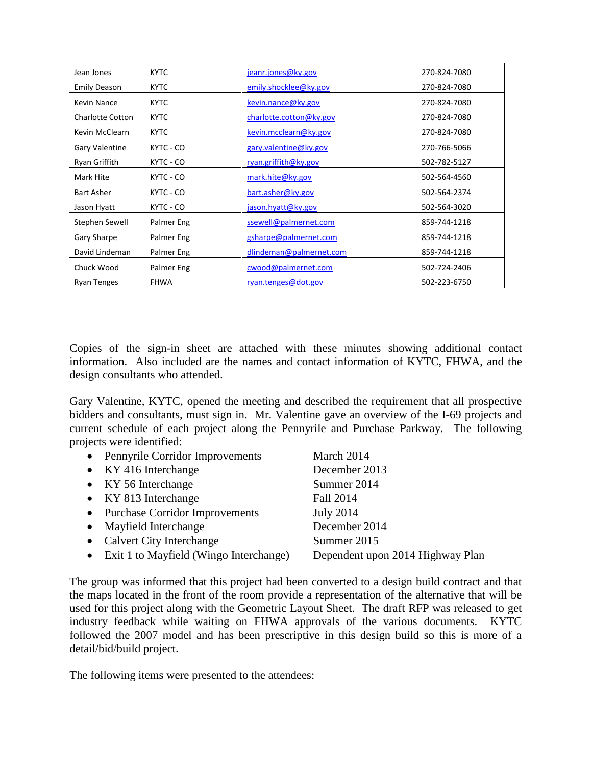| Jean Jones              | <b>KYTC</b> | jeanr.jones@ky.gov      | 270-824-7080 |
|-------------------------|-------------|-------------------------|--------------|
| <b>Emily Deason</b>     | <b>KYTC</b> | emily.shocklee@ky.gov   | 270-824-7080 |
| <b>Kevin Nance</b>      | <b>KYTC</b> | kevin.nance@ky.gov      | 270-824-7080 |
| <b>Charlotte Cotton</b> | <b>KYTC</b> | charlotte.cotton@ky.gov | 270-824-7080 |
| Kevin McClearn          | <b>KYTC</b> | kevin.mcclearn@ky.gov   | 270-824-7080 |
| Gary Valentine          | KYTC - CO   | gary.valentine@ky.gov   | 270-766-5066 |
| Ryan Griffith           | KYTC - CO   | ryan.griffith@ky.gov    | 502-782-5127 |
| Mark Hite               | KYTC - CO   | mark.hite@ky.gov        | 502-564-4560 |
| <b>Bart Asher</b>       | KYTC - CO   | bart.asher@ky.gov       | 502-564-2374 |
| Jason Hyatt             | KYTC - CO   | jason.hyatt@ky.gov      | 502-564-3020 |
| Stephen Sewell          | Palmer Eng  | ssewell@palmernet.com   | 859-744-1218 |
| Gary Sharpe             | Palmer Eng  | gsharpe@palmernet.com   | 859-744-1218 |
| David Lindeman          | Palmer Eng  | dlindeman@palmernet.com | 859-744-1218 |
| Chuck Wood              | Palmer Eng  | cwood@palmernet.com     | 502-724-2406 |
| <b>Ryan Tenges</b>      | <b>FHWA</b> | ryan.tenges@dot.gov     | 502-223-6750 |

Copies of the sign-in sheet are attached with these minutes showing additional contact information. Also included are the names and contact information of KYTC, FHWA, and the design consultants who attended.

Gary Valentine, KYTC, opened the meeting and described the requirement that all prospective bidders and consultants, must sign in. Mr. Valentine gave an overview of the I-69 projects and current schedule of each project along the Pennyrile and Purchase Parkway. The following projects were identified:

| • Pennyrile Corridor Improvements        | March 2014                       |
|------------------------------------------|----------------------------------|
| $\bullet$ KY 416 Interchange             | December 2013                    |
| • KY 56 Interchange                      | Summer 2014                      |
| • KY 813 Interchange                     | Fall 2014                        |
| • Purchase Corridor Improvements         | July 2014                        |
| • Mayfield Interchange                   | December 2014                    |
| • Calvert City Interchange               | Summer 2015                      |
| • Exit 1 to Mayfield (Wingo Interchange) | Dependent upon 2014 Highway Plan |

The group was informed that this project had been converted to a design build contract and that the maps located in the front of the room provide a representation of the alternative that will be used for this project along with the Geometric Layout Sheet. The draft RFP was released to get industry feedback while waiting on FHWA approvals of the various documents. KYTC followed the 2007 model and has been prescriptive in this design build so this is more of a detail/bid/build project.

The following items were presented to the attendees: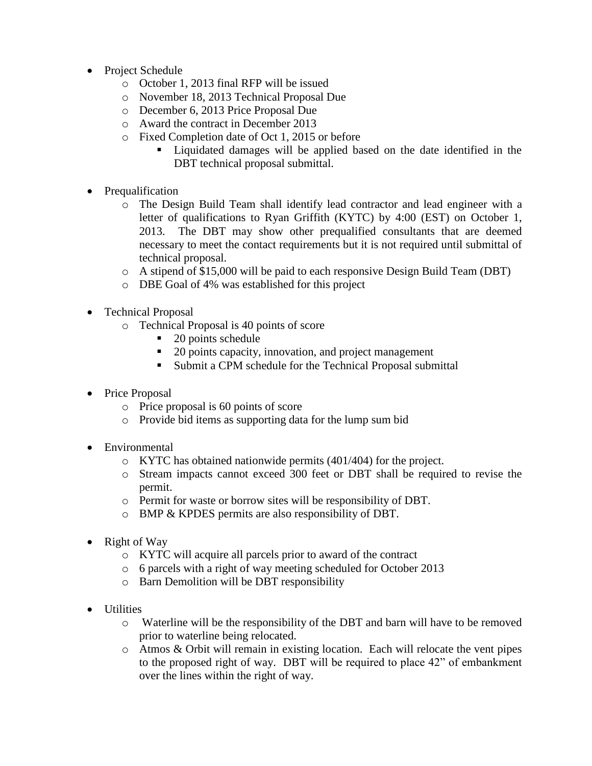- Project Schedule
	- o October 1, 2013 final RFP will be issued
	- o November 18, 2013 Technical Proposal Due
	- o December 6, 2013 Price Proposal Due
	- o Award the contract in December 2013
	- o Fixed Completion date of Oct 1, 2015 or before
		- Liquidated damages will be applied based on the date identified in the DBT technical proposal submittal.
- Prequalification
	- o The Design Build Team shall identify lead contractor and lead engineer with a letter of qualifications to Ryan Griffith (KYTC) by 4:00 (EST) on October 1, 2013. The DBT may show other prequalified consultants that are deemed necessary to meet the contact requirements but it is not required until submittal of technical proposal.
	- o A stipend of \$15,000 will be paid to each responsive Design Build Team (DBT)
	- o DBE Goal of 4% was established for this project
- Technical Proposal
	- o Technical Proposal is 40 points of score
		- $\blacksquare$  20 points schedule
		- 20 points capacity, innovation, and project management
		- Submit a CPM schedule for the Technical Proposal submittal
- Price Proposal
	- o Price proposal is 60 points of score
	- o Provide bid items as supporting data for the lump sum bid
- Environmental
	- o KYTC has obtained nationwide permits (401/404) for the project.
	- o Stream impacts cannot exceed 300 feet or DBT shall be required to revise the permit.
	- o Permit for waste or borrow sites will be responsibility of DBT.
	- o BMP & KPDES permits are also responsibility of DBT.
- Right of Way
	- o KYTC will acquire all parcels prior to award of the contract
	- o 6 parcels with a right of way meeting scheduled for October 2013
	- o Barn Demolition will be DBT responsibility
- Utilities
	- o Waterline will be the responsibility of the DBT and barn will have to be removed prior to waterline being relocated.
	- o Atmos & Orbit will remain in existing location. Each will relocate the vent pipes to the proposed right of way. DBT will be required to place 42" of embankment over the lines within the right of way.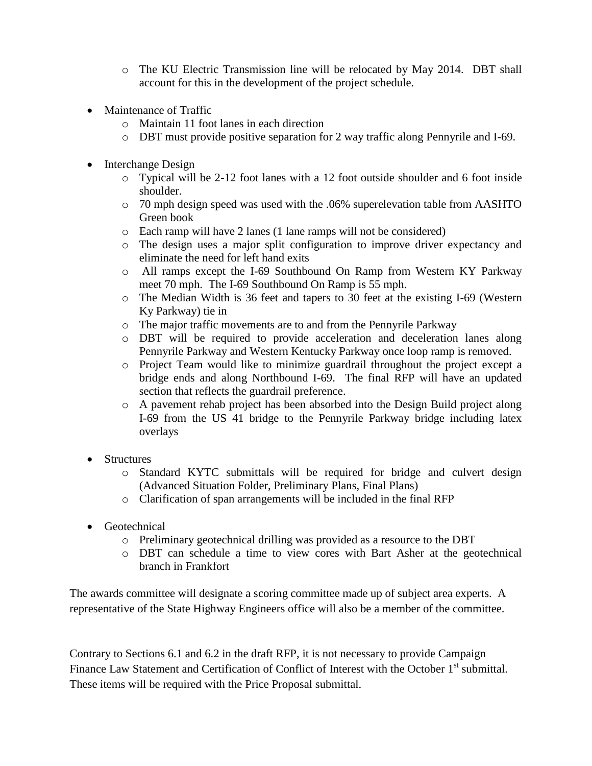- o The KU Electric Transmission line will be relocated by May 2014. DBT shall account for this in the development of the project schedule.
- Maintenance of Traffic
	- o Maintain 11 foot lanes in each direction
	- o DBT must provide positive separation for 2 way traffic along Pennyrile and I-69.
- Interchange Design
	- o Typical will be 2-12 foot lanes with a 12 foot outside shoulder and 6 foot inside shoulder.
	- o 70 mph design speed was used with the .06% superelevation table from AASHTO Green book
	- o Each ramp will have 2 lanes (1 lane ramps will not be considered)
	- o The design uses a major split configuration to improve driver expectancy and eliminate the need for left hand exits
	- o All ramps except the I-69 Southbound On Ramp from Western KY Parkway meet 70 mph. The I-69 Southbound On Ramp is 55 mph.
	- o The Median Width is 36 feet and tapers to 30 feet at the existing I-69 (Western Ky Parkway) tie in
	- o The major traffic movements are to and from the Pennyrile Parkway
	- o DBT will be required to provide acceleration and deceleration lanes along Pennyrile Parkway and Western Kentucky Parkway once loop ramp is removed.
	- o Project Team would like to minimize guardrail throughout the project except a bridge ends and along Northbound I-69. The final RFP will have an updated section that reflects the guardrail preference.
	- o A pavement rehab project has been absorbed into the Design Build project along I-69 from the US 41 bridge to the Pennyrile Parkway bridge including latex overlays
- Structures
	- o Standard KYTC submittals will be required for bridge and culvert design (Advanced Situation Folder, Preliminary Plans, Final Plans)
	- o Clarification of span arrangements will be included in the final RFP
- Geotechnical
	- o Preliminary geotechnical drilling was provided as a resource to the DBT
	- o DBT can schedule a time to view cores with Bart Asher at the geotechnical branch in Frankfort

The awards committee will designate a scoring committee made up of subject area experts. A representative of the State Highway Engineers office will also be a member of the committee.

Contrary to Sections 6.1 and 6.2 in the draft RFP, it is not necessary to provide Campaign Finance Law Statement and Certification of Conflict of Interest with the October 1<sup>st</sup> submittal. These items will be required with the Price Proposal submittal.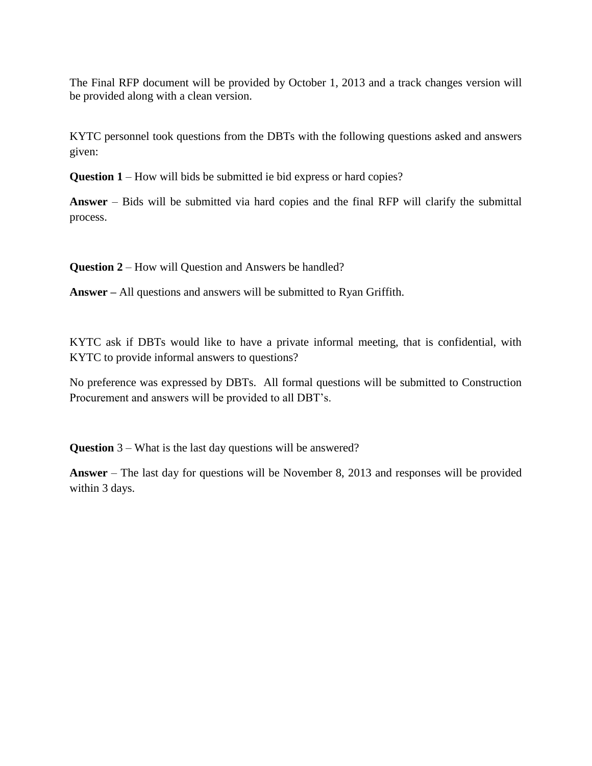The Final RFP document will be provided by October 1, 2013 and a track changes version will be provided along with a clean version.

KYTC personnel took questions from the DBTs with the following questions asked and answers given:

**Question 1** – How will bids be submitted ie bid express or hard copies?

**Answer** – Bids will be submitted via hard copies and the final RFP will clarify the submittal process.

**Question 2** – How will Question and Answers be handled?

**Answer –** All questions and answers will be submitted to Ryan Griffith.

KYTC ask if DBTs would like to have a private informal meeting, that is confidential, with KYTC to provide informal answers to questions?

No preference was expressed by DBTs. All formal questions will be submitted to Construction Procurement and answers will be provided to all DBT's.

**Question** 3 – What is the last day questions will be answered?

**Answer** – The last day for questions will be November 8, 2013 and responses will be provided within 3 days.